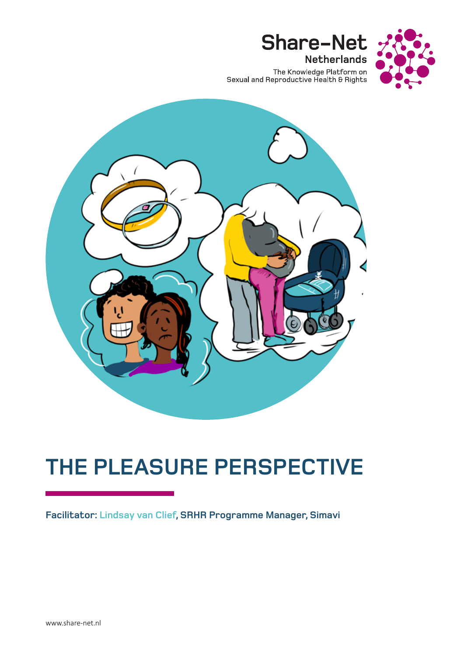

The Knowledge Platform on<br>Sexual and Reproductive Health & Rights

**Share-Net** 

**Netherlands** 



# **THE PLEASURE PERSPECTIVE**

**Facilitator: Lindsay van Clief, SRHR Programme Manager, Simavi**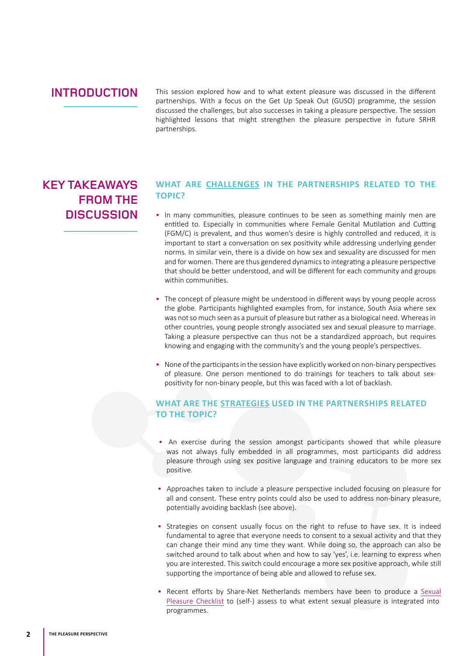### **INTRODUCTION**

This session explored how and to what extent pleasure was discussed in the different partnerships. With a focus on the Get Up Speak Out (GUSO) programme, the session discussed the challenges, but also successes in taking a pleasure perspective. The session highlighted lessons that might strengthen the pleasure perspective in future SRHR partnerships.

## **KEY TAKEAWAYS FROM THE DISCUSSION**

#### **WHAT ARE CHALLENGES IN THE PARTNERSHIPS RELATED TO THE TOPIC?**

- In many communities, pleasure continues to be seen as something mainly men are entitled to. Especially in communities where Female Genital Mutilation and Cutting (FGM/C) is prevalent, and thus women's desire is highly controlled and reduced, it is important to start a conversation on sex positivity while addressing underlying gender norms. In similar vein, there is a divide on how sex and sexuality are discussed for men and for women. There are thus gendered dynamics to integrating a pleasure perspective that should be better understood, and will be different for each community and groups within communities.
- The concept of pleasure might be understood in different ways by young people across the globe. Participants highlighted examples from, for instance, South Asia where sex was not so much seen as a pursuit of pleasure but rather as a biological need. Whereas in other countries, young people strongly associated sex and sexual pleasure to marriage. Taking a pleasure perspective can thus not be a standardized approach, but requires knowing and engaging with the community's and the young people's perspectives.
- None of the participants in the session have explicitly worked on non-binary perspectives of pleasure. One person mentioned to do trainings for teachers to talk about sexpositivity for non-binary people, but this was faced with a lot of backlash.

#### **WHAT ARE THE STRATEGIES USED IN THE PARTNERSHIPS RELATED TO THE TOPIC?**

- An exercise during the session amongst participants showed that while pleasure was not always fully embedded in all programmes, most participants did address pleasure through using sex positive language and training educators to be more sex positive.
- Approaches taken to include a pleasure perspective included focusing on pleasure for all and consent. These entry points could also be used to address non-binary pleasure, potentially avoiding backlash (see above).
- Strategies on consent usually focus on the right to refuse to have sex. It is indeed fundamental to agree that everyone needs to consent to a sexual activity and that they can change their mind any time they want. While doing so, the approach can also be switched around to talk about when and how to say 'yes', i.e. learning to express when you are interested. This switch could encourage a more sex positive approach, while still supporting the importance of being able and allowed to refuse sex.
- Recent efforts by Share-Net Netherlands members have been to produce a [Sexual](https://pleasure-checklist.share-net.nl/) [Pleasure Checklist](https://pleasure-checklist.share-net.nl/) to (self-) assess to what extent sexual pleasure is integrated into programmes.